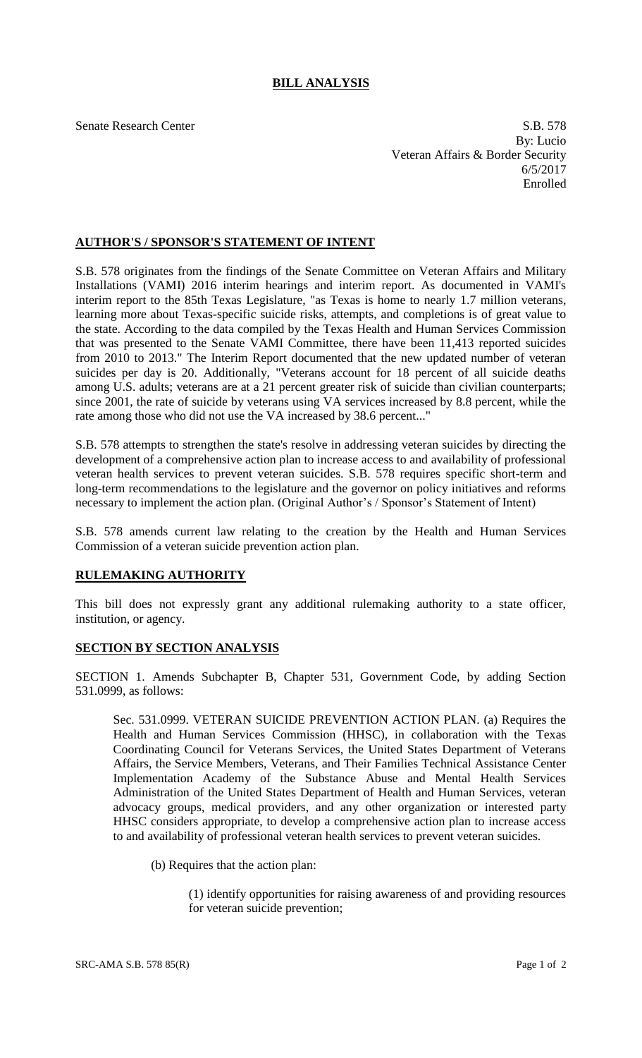## **BILL ANALYSIS**

Senate Research Center S.B. 578 By: Lucio Veteran Affairs & Border Security 6/5/2017 Enrolled

## **AUTHOR'S / SPONSOR'S STATEMENT OF INTENT**

S.B. 578 originates from the findings of the Senate Committee on Veteran Affairs and Military Installations (VAMI) 2016 interim hearings and interim report. As documented in VAMI's interim report to the 85th Texas Legislature, "as Texas is home to nearly 1.7 million veterans, learning more about Texas-specific suicide risks, attempts, and completions is of great value to the state. According to the data compiled by the Texas Health and Human Services Commission that was presented to the Senate VAMI Committee, there have been 11,413 reported suicides from 2010 to 2013." The Interim Report documented that the new updated number of veteran suicides per day is 20. Additionally, "Veterans account for 18 percent of all suicide deaths among U.S. adults; veterans are at a 21 percent greater risk of suicide than civilian counterparts; since 2001, the rate of suicide by veterans using VA services increased by 8.8 percent, while the rate among those who did not use the VA increased by 38.6 percent..."

S.B. 578 attempts to strengthen the state's resolve in addressing veteran suicides by directing the development of a comprehensive action plan to increase access to and availability of professional veteran health services to prevent veteran suicides. S.B. 578 requires specific short-term and long-term recommendations to the legislature and the governor on policy initiatives and reforms necessary to implement the action plan. (Original Author's / Sponsor's Statement of Intent)

S.B. 578 amends current law relating to the creation by the Health and Human Services Commission of a veteran suicide prevention action plan.

## **RULEMAKING AUTHORITY**

This bill does not expressly grant any additional rulemaking authority to a state officer, institution, or agency.

## **SECTION BY SECTION ANALYSIS**

SECTION 1. Amends Subchapter B, Chapter 531, Government Code, by adding Section 531.0999, as follows:

Sec. 531.0999. VETERAN SUICIDE PREVENTION ACTION PLAN. (a) Requires the Health and Human Services Commission (HHSC), in collaboration with the Texas Coordinating Council for Veterans Services, the United States Department of Veterans Affairs, the Service Members, Veterans, and Their Families Technical Assistance Center Implementation Academy of the Substance Abuse and Mental Health Services Administration of the United States Department of Health and Human Services, veteran advocacy groups, medical providers, and any other organization or interested party HHSC considers appropriate, to develop a comprehensive action plan to increase access to and availability of professional veteran health services to prevent veteran suicides.

(b) Requires that the action plan:

(1) identify opportunities for raising awareness of and providing resources for veteran suicide prevention;